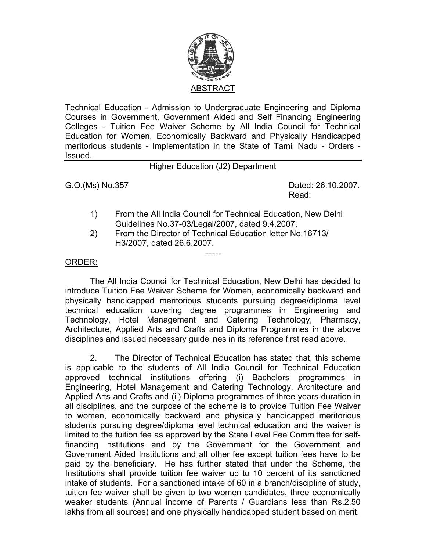

Technical Education - Admission to Undergraduate Engineering and Diploma Courses in Government, Government Aided and Self Financing Engineering Colleges - Tuition Fee Waiver Scheme by All India Council for Technical Education for Women, Economically Backward and Physically Handicapped meritorious students - Implementation in the State of Tamil Nadu - Orders - Issued.

Higher Education (J2) Department

G.O.(Ms) No.357 Dated: 26.10.2007. <u>Read: Album and Album and Album and Album and Album and Album and Album and Album and Album and Album and Album and Album and Album and Album and Album and Album and Album and Album and Album and Album and Album and Album</u>

- 1) From the All India Council for Technical Education, New Delhi Guidelines No.37-03/Legal/2007, dated 9.4.2007.
- 2) From the Director of Technical Education letter No.16713/ H3/2007, dated 26.6.2007.

------

## ORDER:

The All India Council for Technical Education, New Delhi has decided to introduce Tuition Fee Waiver Scheme for Women, economically backward and physically handicapped meritorious students pursuing degree/diploma level technical education covering degree programmes in Engineering and Technology, Hotel Management and Catering Technology, Pharmacy, Architecture, Applied Arts and Crafts and Diploma Programmes in the above disciplines and issued necessary guidelines in its reference first read above.

2. The Director of Technical Education has stated that, this scheme is applicable to the students of All India Council for Technical Education approved technical institutions offering (i) Bachelors programmes in Engineering, Hotel Management and Catering Technology, Architecture and Applied Arts and Crafts and (ii) Diploma programmes of three years duration in all disciplines, and the purpose of the scheme is to provide Tuition Fee Waiver to women, economically backward and physically handicapped meritorious students pursuing degree/diploma level technical education and the waiver is limited to the tuition fee as approved by the State Level Fee Committee for selffinancing institutions and by the Government for the Government and Government Aided Institutions and all other fee except tuition fees have to be paid by the beneficiary. He has further stated that under the Scheme, the Institutions shall provide tuition fee waiver up to 10 percent of its sanctioned intake of students. For a sanctioned intake of 60 in a branch/discipline of study, tuition fee waiver shall be given to two women candidates, three economically weaker students (Annual income of Parents / Guardians less than Rs.2.50 lakhs from all sources) and one physically handicapped student based on merit.